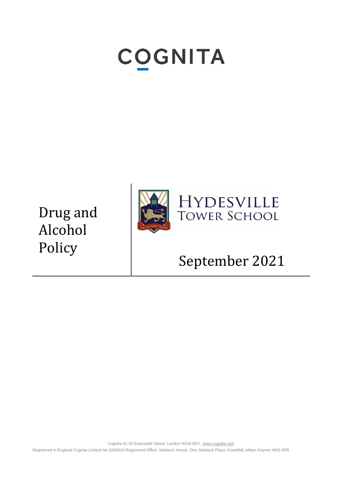# **COGNITA**

Drug and Alcohol Policy



### HYDESVILLE **TOWER SCHOOL**

## September 2021

Cognita 41-42 Eastcastle Street, London W1W 8DY[, www.cognita.com](http://www.cognita.com/) Registered in England Cognita Limited No 5280910 Registered Office: Seebeck House, One Seebeck Place, Knowlhill, Milton Keynes MK5 8FR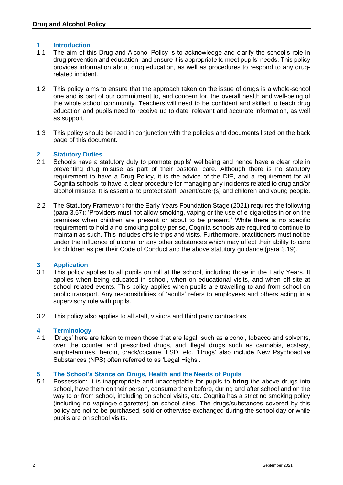#### **1 Introduction**

- 1.1 The aim of this Drug and Alcohol Policy is to acknowledge and clarify the school's role in drug prevention and education, and ensure it is appropriate to meet pupils' needs. This policy provides information about drug education, as well as procedures to respond to any drugrelated incident.
- 1.2 This policy aims to ensure that the approach taken on the issue of drugs is a whole-school one and is part of our commitment to, and concern for, the overall health and well-being of the whole school community. Teachers will need to be confident and skilled to teach drug education and pupils need to receive up to date, relevant and accurate information, as well as support.
- 1.3 This policy should be read in conjunction with the policies and documents listed on the back page of this document.

#### **2 Statutory Duties**

- 2.1 Schools have a statutory duty to promote pupils' wellbeing and hence have a clear role in preventing drug misuse as part of their pastoral care. Although there is no statutory requirement to have a Drug Policy, it is the advice of the DfE, and a requirement for all Cognita schools to have a clear procedure for managing any incidents related to drug and/or alcohol misuse. It is essential to protect staff, parent/carer(s) and children and young people.
- 2.2 The Statutory Framework for the Early Years Foundation Stage (2021) requires the following (para 3.57): 'Providers must not allow smoking, vaping or the use of e-cigarettes in or on the premises when children are present or about to be present.' While there is no specific requirement to hold a no-smoking policy per se, Cognita schools are required to continue to maintain as such. This includes offsite trips and visits. Furthermore, practitioners must not be under the influence of alcohol or any other substances which may affect their ability to care for children as per their Code of Conduct and the above statutory guidance (para 3.19).

#### **3 Application**

- 3.1 This policy applies to all pupils on roll at the school, including those in the Early Years. It applies when being educated in school, when on educational visits, and when off-site at school related events. This policy applies when pupils are travelling to and from school on public transport. Any responsibilities of 'adults' refers to employees and others acting in a supervisory role with pupils.
- 3.2 This policy also applies to all staff, visitors and third party contractors.

### **4 Terminology**

4.1 'Drugs' here are taken to mean those that are legal, such as alcohol, tobacco and solvents, over the counter and prescribed drugs, and illegal drugs such as cannabis, ecstasy, amphetamines, heroin, crack/cocaine, LSD, etc. 'Drugs' also include New Psychoactive Substances (NPS) often referred to as 'Legal Highs'.

#### **5 The School's Stance on Drugs, Health and the Needs of Pupils**

5.1 Possession: It is inappropriate and unacceptable for pupils to **bring** the above drugs into school, have them on their person, consume them before, during and after school and on the way to or from school, including on school visits, etc. Cognita has a strict no smoking policy (including no vaping/e-cigarettes) on school sites. The drugs/substances covered by this policy are not to be purchased, sold or otherwise exchanged during the school day or while pupils are on school visits.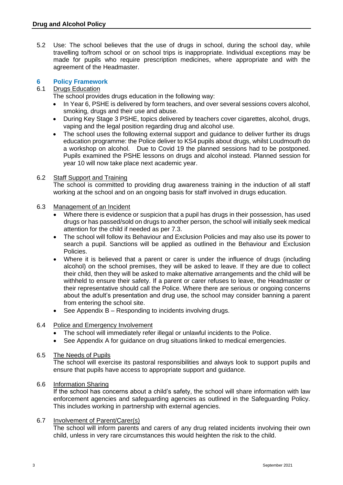5.2 Use: The school believes that the use of drugs in school, during the school day, while travelling to/from school or on school trips is inappropriate. Individual exceptions may be made for pupils who require prescription medicines, where appropriate and with the agreement of the Headmaster.

#### **6 Policy Framework**

#### 6.1 Drugs Education

The school provides drugs education in the following way:

- In Year 6, PSHE is delivered by form teachers, and over several sessions covers alcohol, smoking, drugs and their use and abuse.
- During Key Stage 3 PSHE, topics delivered by teachers cover cigarettes, alcohol, drugs, vaping and the legal position regarding drug and alcohol use.
- The school uses the following external support and guidance to deliver further its drugs education programme: the Police deliver to KS4 pupils about drugs, whilst Loudmouth do a workshop on alcohol. Due to Covid 19 the planned sessions had to be postponed. Pupils examined the PSHE lessons on drugs and alcohol instead. Planned session for year 10 will now take place next academic year.

#### 6.2 Staff Support and Training

The school is committed to providing drug awareness training in the induction of all staff working at the school and on an ongoing basis for staff involved in drugs education.

#### 6.3 Management of an Incident

- Where there is evidence or suspicion that a pupil has drugs in their possession, has used drugs or has passed/sold on drugs to another person, the school will initially seek medical attention for the child if needed as per 7.3.
- The school will follow its Behaviour and Exclusion Policies and may also use its power to search a pupil. Sanctions will be applied as outlined in the Behaviour and Exclusion Policies.
- Where it is believed that a parent or carer is under the influence of drugs (including alcohol) on the school premises, they will be asked to leave. If they are due to collect their child, then they will be asked to make alternative arrangements and the child will be withheld to ensure their safety. If a parent or carer refuses to leave, the Headmaster or their representative should call the Police. Where there are serious or ongoing concerns about the adult's presentation and drug use, the school may consider banning a parent from entering the school site.
- See Appendix B Responding to incidents involving drugs.

#### 6.4 Police and Emergency Involvement

- The school will immediately refer illegal or unlawful incidents to the Police.
- See Appendix A for guidance on drug situations linked to medical emergencies.

#### 6.5 The Needs of Pupils

The school will exercise its pastoral responsibilities and always look to support pupils and ensure that pupils have access to appropriate support and guidance.

#### 6.6 Information Sharing

If the school has concerns about a child's safety, the school will share information with law enforcement agencies and safeguarding agencies as outlined in the Safeguarding Policy. This includes working in partnership with external agencies.

#### 6.7 Involvement of Parent/Carer(s)

The school will inform parents and carers of any drug related incidents involving their own child, unless in very rare circumstances this would heighten the risk to the child.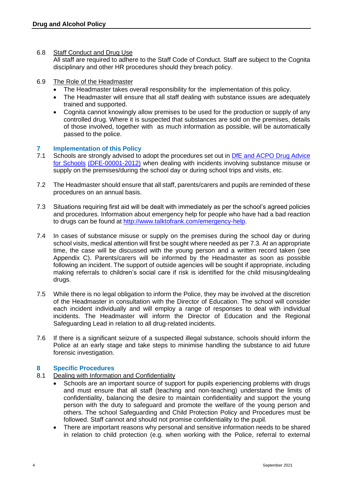6.8 Staff Conduct and Drug Use

All staff are required to adhere to the Staff Code of Conduct. Staff are subject to the Cognita disciplinary and other HR procedures should they breach policy.

- 6.9 The Role of the Headmaster
	- The Headmaster takes overall responsibility for the implementation of this policy.
	- The Headmaster will ensure that all staff dealing with substance issues are adequately trained and supported.
	- Cognita cannot knowingly allow premises to be used for the production or supply of any controlled drug. Where it is suspected that substances are sold on the premises, details of those involved, together with as much information as possible, will be automatically passed to the police.

#### **7 Implementation of this Policy**

- 7.1 Schools are strongly advised to adopt the procedures set out in DfE and ACPO Drug Advice for Schools [\(DFE-00001-2012\)](https://www.gov.uk/government/publications/drugs-advice-for-schools) when dealing with incidents involving substance misuse or supply on the premises/during the school day or during school trips and visits, etc.
- 7.2 The Headmaster should ensure that all staff, parents/carers and pupils are reminded of these procedures on an annual basis.
- 7.3 Situations requiring first aid will be dealt with immediately as per the school's agreed policies and procedures. Information about emergency help for people who have had a bad reaction to drugs can be found at [http://www.talktofrank.com/emergency-help.](http://www.talktofrank.com/emergency-help)
- 7.4 In cases of substance misuse or supply on the premises during the school day or during school visits, medical attention will first be sought where needed as per 7.3. At an appropriate time, the case will be discussed with the young person and a written record taken (see Appendix C). Parents/carers will be informed by the Headmaster as soon as possible following an incident. The support of outside agencies will be sought if appropriate, including making referrals to children's social care if risk is identified for the child misusing/dealing drugs.
- 7.5 While there is no legal obligation to inform the Police, they may be involved at the discretion of the Headmaster in consultation with the Director of Education. The school will consider each incident individually and will employ a range of responses to deal with individual incidents. The Headmaster will inform the Director of Education and the Regional Safeguarding Lead in relation to all drug-related incidents.
- 7.6 If there is a significant seizure of a suspected illegal substance, schools should inform the Police at an early stage and take steps to minimise handling the substance to aid future forensic investigation.

#### **8 Specific Procedures**

- 8.1 Dealing with Information and Confidentiality
	- Schools are an important source of support for pupils experiencing problems with drugs and must ensure that all staff (teaching and non-teaching) understand the limits of confidentiality, balancing the desire to maintain confidentiality and support the young person with the duty to safeguard and promote the welfare of the young person and others. The school Safeguarding and Child Protection Policy and Procedures must be followed. Staff cannot and should not promise confidentiality to the pupil.
	- There are important reasons why personal and sensitive information needs to be shared in relation to child protection (e.g. when working with the Police, referral to external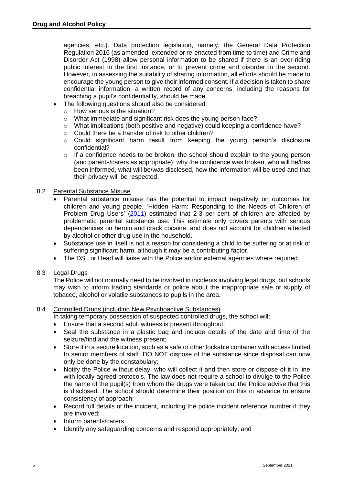agencies, etc.). Data protection legislation, namely, the General Data Protection Regulation 2016 (as amended, extended or re-enacted from time to time) and Crime and Disorder Act (1998) allow personal information to be shared if there is an over-riding public interest in the first instance, or to prevent crime and disorder in the second. However, in assessing the suitability of sharing information, all efforts should be made to encourage the young person to give their informed consent. If a decision is taken to share confidential information, a written record of any concerns, including the reasons for breaching a pupil's confidentiality, should be made.

- The following questions should also be considered:
	- o How serious is the situation?
	- o What immediate and significant risk does the young person face?
	- $\circ$  What implications (both positive and negative) could keeping a confidence have?
	- o Could there be a transfer of risk to other children?
	- $\circ$  Could significant harm result from keeping the young person's disclosure confidential?
	- $\circ$  If a confidence needs to be broken, the school should explain to the young person (and parents/carers as appropriate): why the confidence was broken, who will be/has been informed, what will be/was disclosed, how the information will be used and that their privacy will be respected.

#### 8.2 Parental Substance Misuse

- Parental substance misuse has the potential to impact negatively on outcomes for children and young people. 'Hidden Harm: Responding to the Needs of Children of Problem Drug Users' [\(2011\)](https://assets.publishing.service.gov.uk/government/uploads/system/uploads/attachment_data/file/120620/hidden-harm-full.pdf) estimated that 2-3 per cent of children are affected by problematic parental substance use. This estimate only covers parents with serious dependencies on heroin and crack cocaine, and does not account for children affected by alcohol or other drug use in the household.
- Substance use in itself is not a reason for considering a child to be suffering or at risk of suffering significant harm, although it may be a contributing factor.
- The DSL or Head will liaise with the Police and/or external agencies where required.

#### 8.3 Legal Drugs

The Police will not normally need to be involved in incidents involving legal drugs, but schools may wish to inform trading standards or police about the inappropriate sale or supply of tobacco, alcohol or volatile substances to pupils in the area.

#### 8.4 Controlled Drugs (including New Psychoactive Substances)

In taking temporary possession of suspected controlled drugs, the school will:

- Ensure that a second adult witness is present throughout;
- Seal the substance in a plastic bag and include details of the date and time of the seizure/find and the witness present;
- Store it in a secure location, such as a safe or other lockable container with access limited to senior members of staff. DO NOT dispose of the substance since disposal can now only be done by the constabulary;
- Notify the Police without delay, who will collect it and then store or dispose of it in line with locally agreed protocols. The law does not require a school to divulge to the Police the name of the pupil(s) from whom the drugs were taken but the Police advise that this is disclosed. The school should determine their position on this in advance to ensure consistency of approach;
- Record full details of the incident, including the police incident reference number if they are involved;
- Inform parents/carers,
- Identify any safeguarding concerns and respond appropriately; and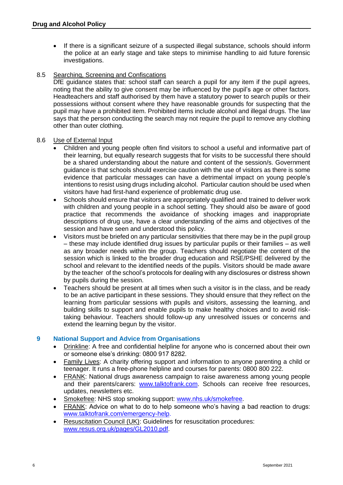• If there is a significant seizure of a suspected illegal substance, schools should inform the police at an early stage and take steps to minimise handling to aid future forensic investigations.

#### 8.5 Searching, Screening and Confiscations

DfE guidance states that: school staff can search a pupil for any item if the pupil agrees, noting that the ability to give consent may be influenced by the pupil's age or other factors. Headteachers and staff authorised by them have a statutory power to search pupils or their possessions without consent where they have reasonable grounds for suspecting that the pupil may have a prohibited item. Prohibited items include alcohol and illegal drugs. The law says that the person conducting the search may not require the pupil to remove any clothing other than outer clothing.

#### 8.6 Use of External Input

- Children and young people often find visitors to school a useful and informative part of their learning, but equally research suggests that for visits to be successful there should be a shared understanding about the nature and content of the session/s. Government guidance is that schools should exercise caution with the use of visitors as there is some evidence that particular messages can have a detrimental impact on young people's intentions to resist using drugs including alcohol. Particular caution should be used when visitors have had first-hand experience of problematic drug use.
- Schools should ensure that visitors are appropriately qualified and trained to deliver work with children and young people in a school setting. They should also be aware of good practice that recommends the avoidance of shocking images and inappropriate descriptions of drug use, have a clear understanding of the aims and objectives of the session and have seen and understood this policy.
- Visitors must be briefed on any particular sensitivities that there may be in the pupil group – these may include identified drug issues by particular pupils or their families – as well as any broader needs within the group. Teachers should negotiate the content of the session which is linked to the broader drug education and RSE/PSHE delivered by the school and relevant to the identified needs of the pupils. Visitors should be made aware by the teacher of the school's protocols for dealing with any disclosures or distress shown by pupils during the session.
- Teachers should be present at all times when such a visitor is in the class, and be ready to be an active participant in these sessions. They should ensure that they reflect on the learning from particular sessions with pupils and visitors, assessing the learning, and building skills to support and enable pupils to make healthy choices and to avoid risktaking behaviour. Teachers should follow-up any unresolved issues or concerns and extend the learning begun by the visitor.

#### **9 National Support and Advice from Organisations**

- Drinkline: A free and confidential helpline for anyone who is concerned about their own or someone else's drinking: 0800 917 8282.
- Family Lives: A charity offering support and information to anyone parenting a child or teenager. It runs a free-phone helpline and courses for parents: 0800 800 222.
- FRANK: National drugs awareness campaign to raise awareness among young people and their parents/carers: [www.talktofrank.com.](http://www.talktofrank.com/) Schools can receive free resources, updates, newsletters etc.
- Smokefree: NHS stop smoking support: [www.nhs.uk/smokefree.](http://www.nhs.uk/smokefree)
- FRANK: Advice on what to do to help someone who's having a bad reaction to drugs: [www.talktofrank.com/emergency-help.](http://www.talktofrank.com/emergency-help)
- Resuscitation Council (UK): Guidelines for resuscitation procedures: [www.resus.org.uk/pages/GL2010.pdf.](http://www.resus.org.uk/pages/GL2010.pdf)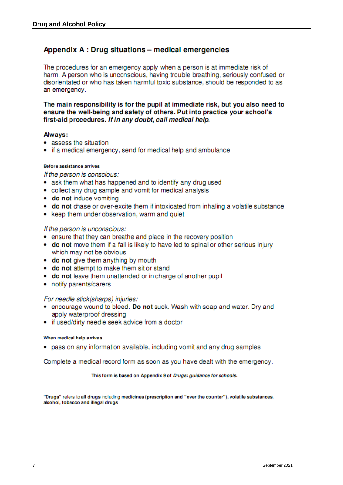#### Appendix A : Drug situations - medical emergencies

The procedures for an emergency apply when a person is at immediate risk of harm. A person who is unconscious, having trouble breathing, seriously confused or disorientated or who has taken harmful toxic substance, should be responded to as an emergency.

The main responsibility is for the pupil at immediate risk, but you also need to ensure the well-being and safety of others. Put into practice your school's first-aid procedures. If in any doubt, call medical help.

#### Always:

- assess the situation
- if a medical emergency, send for medical help and ambulance

#### Before assistance arrives

If the person is conscious:

- ask them what has happened and to identify any drug used
- collect any drug sample and vomit for medical analysis
- do not induce vomiting
- do not chase or over-excite them if intoxicated from inhaling a volatile substance
- keep them under observation, warm and quiet

#### If the person is unconscious:

- ensure that they can breathe and place in the recovery position
- do not move them if a fall is likely to have led to spinal or other serious injury which may not be obvious
- do not give them anything by mouth
- do not attempt to make them sit or stand
- do not leave them unattended or in charge of another pupil
- notify parents/carers

#### For needle stick(sharps) injuries:

- encourage wound to bleed. Do not suck. Wash with soap and water. Dry and apply waterproof dressing
- if used/dirty needle seek advice from a doctor

#### When medical help arrives

• pass on any information available, including vomit and any drug samples

Complete a medical record form as soon as you have dealt with the emergency.

#### This form is based on Appendix 9 of Drugs: guidance for schools.

"Drugs" refers to all drugs including medicines (prescription and "over the counter"), volatile substances, alcohol, tobacco and illegal drugs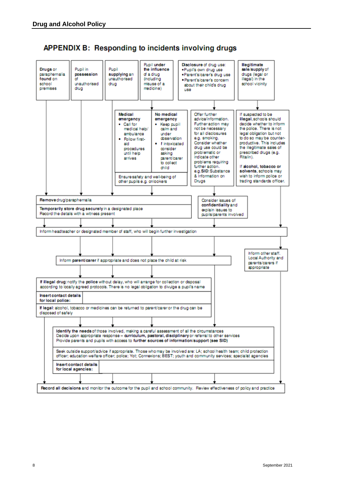

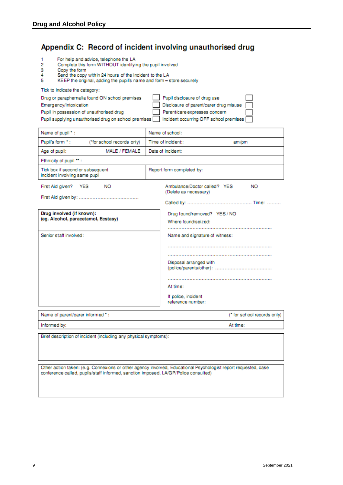#### Appendix C: Record of incident involving unauthorised drug

- For help and advice, telephone the LA 1
- $\overline{2}$ Complete this form WITHOUT identifying the pupil involved
- $\frac{1}{4}$ Copy the form
- Send the copy within 24 hours of the incident to the LA
- 5 KEEP the original, adding the pupil's name and form - store securely

Tick to indicate the category:

| Drug or paraphernalia found ON school premises                                                | Pupil disclosure of drug use           |  |
|-----------------------------------------------------------------------------------------------|----------------------------------------|--|
| Emergency/Intoxication                                                                        | Disclosure of parent/carer drug misuse |  |
| Pupil in possession of unauthorised drug                                                      | Parent/care expresses concern          |  |
| Pupil supplying unauthorised drug on school premises   Incident occurring OFF school premises |                                        |  |

| Name of pupil *:                                                  | Name of school:                                                                |
|-------------------------------------------------------------------|--------------------------------------------------------------------------------|
| Pupil's form *:<br>("for school records only)                     | Time of incident::<br>am/pm                                                    |
| MALE / FEMALE<br>Age of pupil:                                    | Date of incident:                                                              |
| Ethnicity of pupil **:                                            |                                                                                |
| Tick box if second or subsequent<br>incident involving same pupil | Report form completed by:                                                      |
| First Aid given?<br>NO.<br><b>YES</b>                             | Ambulance/Doctor called? YES<br><b>NO</b><br>(Delete as necessary)             |
|                                                                   |                                                                                |
| Drug involved (if known):<br>(eg. Alcohol, paracetamol, Ecstasy)  | Drug found/removed? YES / NO<br>Where found/seized:                            |
| Senior staff involved:                                            | Name and signature of witness:                                                 |
|                                                                   | Disposal arranged with<br>At time:<br>If police, incident<br>reference number: |

Name of parent/carer informed \*: (\* for school records only) At time: Informed by:

Brief description of incident (including any physical symptoms):

Other action taken: (e.g. Connexions or other agency involved, Educational Psychologist report requested, case conference called, pupils/staff informed, sanction imposed, LA/GP/Police consulted)